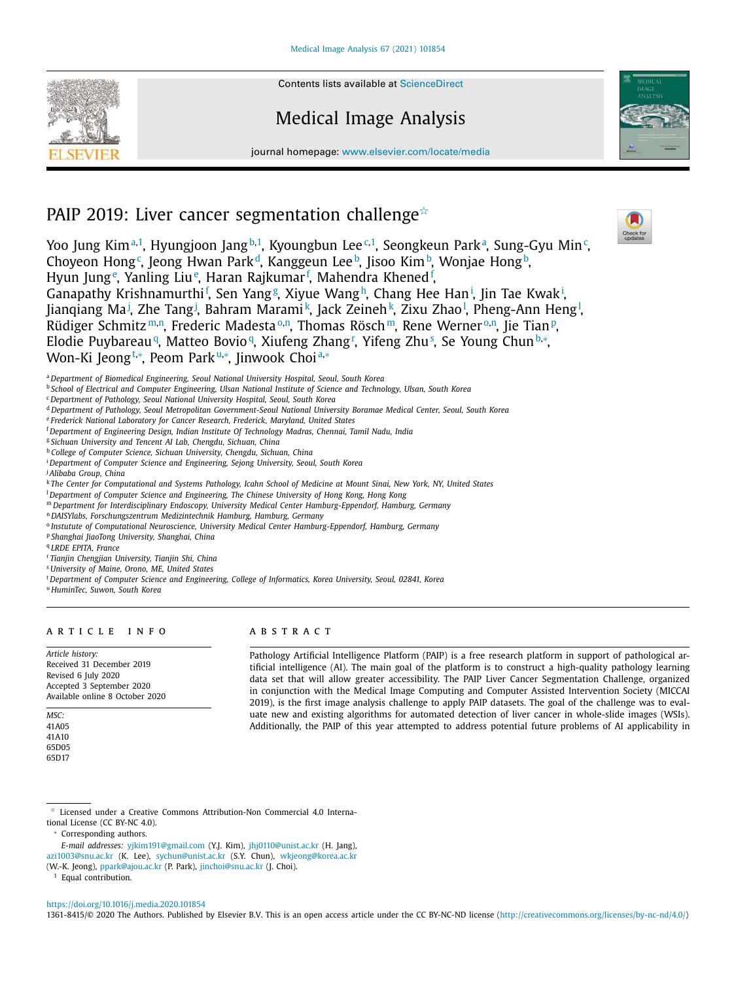Contents lists available at ScienceDirect

# Medical Image Analysis

journal homepage: www.elsevier.com/locate/media



# PAIP 2019: Liver cancer segmentation challenge $\dot{\mathbb{R}}$

Yoo Jung Kim<sup>a,1</sup>, Hyungjoon Jang<sup>b,1</sup>, Kyoungbun Lee<sup>c,1</sup>, Seongkeun Park<sup>a</sup>, Sung-Gyu Min<sup>c</sup>, Choyeon Hong<sup>c</sup>, Jeong Hwan Park<sup>d</sup>, Kanggeun Lee<sup>b</sup>, Jisoo Kim<sup>b</sup>, Wonjae Hong<sup>b</sup>, Hyun Jung<sup>e</sup>, Yanling Liu<sup>e</sup>, Haran Rajkumar<sup>f</sup>, Mahendra Khened<sup>f</sup>, Ganapathy Krishnamurthi<sup>f</sup>, Sen Yang<sup>g</sup>, Xiyue Wang<sup>h</sup>, Chang Hee Han<sup>i</sup>, Jin Tae Kwak<sup>i</sup>, Jianqiang Ma<sup>j</sup>, Zhe Tang<sup>j</sup>, Bahram Marami<sup>k</sup>, Jack Zeineh<sup>k</sup>, Zixu Zhao<sup>l</sup>, Pheng-Ann Heng<sup>l</sup>, Rüdiger Schmitz™.<sup>n</sup>, Frederic Madesta%.n, Thomas Rösch™, Rene Werner%.n, Jie Tian®, Elodie Puybareau¶, Matteo Bovio¶, Xiufeng Zhang'', Yifeng Zhu§, Se Young Chun<sup>b,</sup>\*, Won-Ki Jeong<sup>t,</sup>\*, Peom Park™\*, Jinwook Choi<u>a,</u>\*

<sup>a</sup> *Department of Biomedical Engineering, Seoul National University Hospital, Seoul, South Korea*

<sup>b</sup> School of Electrical and Computer Engineering, Ulsan National Institute of Science and Technology, Ulsan, South Korea

- <sup>c</sup> *Department of Pathology, Seoul National University Hospital, Seoul, South Korea*
- <sup>d</sup> *Department of Pathology, Seoul Metropolitan Government-Seoul National University Boramae Medical Center, Seoul, South Korea*
- <sup>e</sup> *Frederick National Laboratory for Cancer Research, Frederick, Maryland, United States*

<sup>f</sup> *Department of Engineering Design, Indian Institute Of Technology Madras, Chennai, Tamil Nadu, India*

<sup>g</sup> *Sichuan University and Tencent AI Lab, Chengdu, Sichuan, China*

<sup>h</sup> *College of Computer Science, Sichuan University, Chengdu, Sichuan, China*

<sup>i</sup> *Department of Computer Science and Engineering, Sejong University, Seoul, South Korea*

<sup>j</sup> *Alibaba Group, China*

k The Center for Computational and Systems Pathology, Icahn School of Medicine at Mount Sinai, New York, NY, United States

<sup>l</sup> *Department of Computer Science and Engineering, The Chinese University of Hong Kong, Hong Kong*

- <sup>m</sup> *Department for Interdisciplinary Endoscopy, University Medical Center Hamburg-Eppendorf, Hamburg, Germany*
- <sup>n</sup> *DAISYlabs, Forschungszentrum Medizintechnik Hamburg, Hamburg, Germany*
- o *Instutute of Computational Neuroscience, University Medical Center Hamburg-Eppendorf, Hamburg, Germany*
- <sup>p</sup> *Shanghai JiaoTong University, Shanghai, China*

q *LRDE EPITA, France*

<sup>r</sup> *Tianjin Chengjian University, Tianjin Shi, China*

<sup>s</sup> *University of Maine, Orono, ME, United States*

<sup>t</sup> *Department of Computer Science and Engineering, College of Informatics, Korea University, Seoul, 02841, Korea*

<sup>u</sup> *HuminTec, Suwon, South Korea*

# a r t i c l e i n f o

*Article history:* Received 31 December 2019 Revised 6 July 2020 Accepted 3 September 2020 Available online 8 October 2020

*MSC:* 41A05 41A10 65D05 65D17

A B S T R A C T

Pathology Artificial Intelligence Platform (PAIP) is a free research platform in support of pathological artificial intelligence (AI). The main goal of the platform is to construct a high-quality pathology learning data set that will allow greater accessibility. The PAIP Liver Cancer Segmentation Challenge, organized in conjunction with the Medical Image Computing and Computer Assisted Intervention Society (MICCAI 2019), is the first image analysis challenge to apply PAIP datasets. The goal of the challenge was to evaluate new and existing algorithms for automated detection of liver cancer in whole-slide images (WSIs). Additionally, the PAIP of this year attempted to address potential future problems of AI applicability in

tional License (CC BY-NC 4.0). <sup>∗</sup> Corresponding authors.

<sup>1</sup> Equal contribution.

https://doi.org/10.1016/j.media.2020.101854

1361-8415/© 2020 The Authors. Published by Elsevier B.V. This is an open access article under the CC BY-NC-ND license (http://creativecommons.org/licenses/by-nc-nd/4.0/)

<sup>-</sup> Licensed under a Creative Commons Attribution-Non Commercial 4.0 Interna-

*E-mail addresses:* yjkim191@gmail.com (Y.J. Kim), jhj0110@unist.ac.kr (H. Jang), azi1003@snu.ac.kr (K. Lee), sychun@unist.ac.kr (S.Y. Chun), wkjeong@korea.ac.kr

<sup>(</sup>W.-K. Jeong), ppark@ajou.ac.kr (P. Park), jinchoi@snu.ac.kr (J. Choi).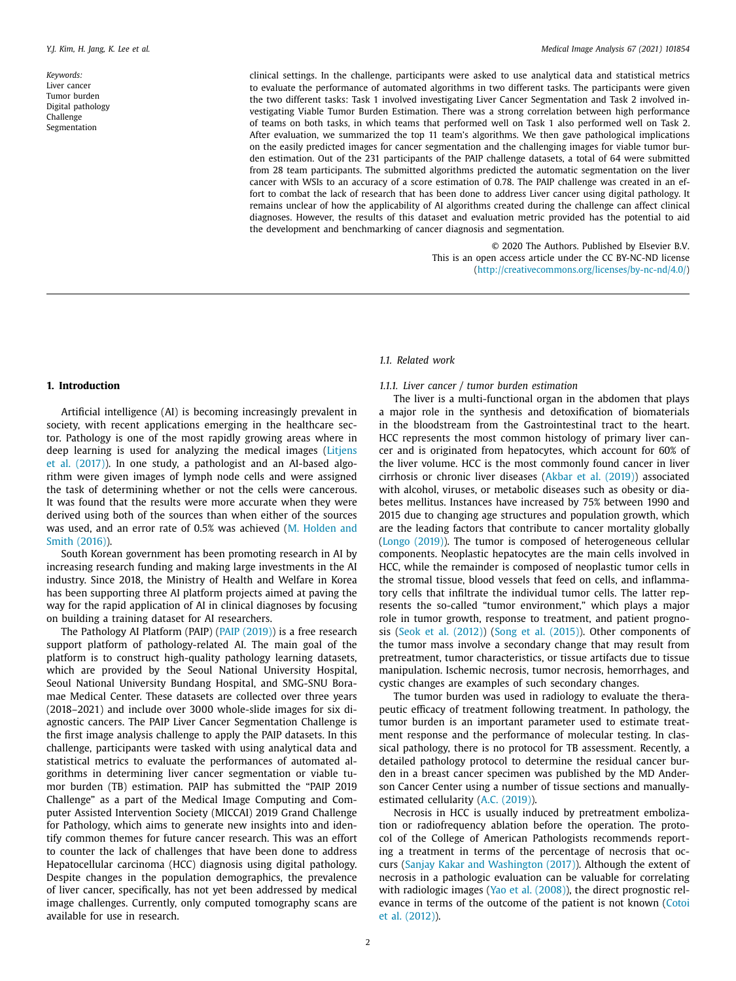*Keywords:* Liver cancer Tumor burden Digital pathology Challenge Segmentation

clinical settings. In the challenge, participants were asked to use analytical data and statistical metrics to evaluate the performance of automated algorithms in two different tasks. The participants were given the two different tasks: Task 1 involved investigating Liver Cancer Segmentation and Task 2 involved investigating Viable Tumor Burden Estimation. There was a strong correlation between high performance of teams on both tasks, in which teams that performed well on Task 1 also performed well on Task 2. After evaluation, we summarized the top 11 team's algorithms. We then gave pathological implications on the easily predicted images for cancer segmentation and the challenging images for viable tumor burden estimation. Out of the 231 participants of the PAIP challenge datasets, a total of 64 were submitted from 28 team participants. The submitted algorithms predicted the automatic segmentation on the liver cancer with WSIs to an accuracy of a score estimation of 0.78. The PAIP challenge was created in an effort to combat the lack of research that has been done to address Liver cancer using digital pathology. It remains unclear of how the applicability of AI algorithms created during the challenge can affect clinical diagnoses. However, the results of this dataset and evaluation metric provided has the potential to aid the development and benchmarking of cancer diagnosis and segmentation.

> © 2020 The Authors. Published by Elsevier B.V. This is an open access article under the CC BY-NC-ND license (http://creativecommons.org/licenses/by-nc-nd/4.0/)

#### **1. Introduction**

Artificial intelligence (AI) is becoming increasingly prevalent in society, with recent applications emerging in the healthcare sector. Pathology is one of the most rapidly growing areas where in deep learning is used for analyzing the medical images (Litjens et al. (2017)). In one study, a pathologist and an AI-based algorithm were given images of lymph node cells and were assigned the task of determining whether or not the cells were cancerous. It was found that the results were more accurate when they were derived using both of the sources than when either of the sources was used, and an error rate of 0.5% was achieved (M. Holden and Smith (2016)).

South Korean government has been promoting research in AI by increasing research funding and making large investments in the AI industry. Since 2018, the Ministry of Health and Welfare in Korea has been supporting three AI platform projects aimed at paving the way for the rapid application of AI in clinical diagnoses by focusing on building a training dataset for AI researchers.

The Pathology AI Platform (PAIP) (PAIP (2019)) is a free research support platform of pathology-related AI. The main goal of the platform is to construct high-quality pathology learning datasets, which are provided by the Seoul National University Hospital, Seoul National University Bundang Hospital, and SMG-SNU Boramae Medical Center. These datasets are collected over three years (2018–2021) and include over 3000 whole-slide images for six diagnostic cancers. The PAIP Liver Cancer Segmentation Challenge is the first image analysis challenge to apply the PAIP datasets. In this challenge, participants were tasked with using analytical data and statistical metrics to evaluate the performances of automated algorithms in determining liver cancer segmentation or viable tumor burden (TB) estimation. PAIP has submitted the "PAIP 2019 Challenge" as a part of the Medical Image Computing and Computer Assisted Intervention Society (MICCAI) 2019 Grand Challenge for Pathology, which aims to generate new insights into and identify common themes for future cancer research. This was an effort to counter the lack of challenges that have been done to address Hepatocellular carcinoma (HCC) diagnosis using digital pathology. Despite changes in the population demographics, the prevalence of liver cancer, specifically, has not yet been addressed by medical image challenges. Currently, only computed tomography scans are available for use in research.

# *1.1. Related work*

#### *1.1.1. Liver cancer / tumor burden estimation*

The liver is a multi-functional organ in the abdomen that plays a major role in the synthesis and detoxification of biomaterials in the bloodstream from the Gastrointestinal tract to the heart. HCC represents the most common histology of primary liver cancer and is originated from hepatocytes, which account for 60% of the liver volume. HCC is the most commonly found cancer in liver cirrhosis or chronic liver diseases (Akbar et al. (2019)) associated with alcohol, viruses, or metabolic diseases such as obesity or diabetes mellitus. Instances have increased by 75% between 1990 and 2015 due to changing age structures and population growth, which are the leading factors that contribute to cancer mortality globally (Longo (2019)). The tumor is composed of heterogeneous cellular components. Neoplastic hepatocytes are the main cells involved in HCC, while the remainder is composed of neoplastic tumor cells in the stromal tissue, blood vessels that feed on cells, and inflammatory cells that infiltrate the individual tumor cells. The latter represents the so-called "tumor environment," which plays a major role in tumor growth, response to treatment, and patient prognosis (Seok et al. (2012)) (Song et al. (2015)). Other components of the tumor mass involve a secondary change that may result from pretreatment, tumor characteristics, or tissue artifacts due to tissue manipulation. Ischemic necrosis, tumor necrosis, hemorrhages, and cystic changes are examples of such secondary changes.

The tumor burden was used in radiology to evaluate the therapeutic efficacy of treatment following treatment. In pathology, the tumor burden is an important parameter used to estimate treatment response and the performance of molecular testing. In classical pathology, there is no protocol for TB assessment. Recently, a detailed pathology protocol to determine the residual cancer burden in a breast cancer specimen was published by the MD Anderson Cancer Center using a number of tissue sections and manuallyestimated cellularity (A.C. (2019)).

Necrosis in HCC is usually induced by pretreatment embolization or radiofrequency ablation before the operation. The protocol of the College of American Pathologists recommends reporting a treatment in terms of the percentage of necrosis that occurs (Sanjay Kakar and Washington (2017)). Although the extent of necrosis in a pathologic evaluation can be valuable for correlating with radiologic images (Yao et al. (2008)), the direct prognostic relevance in terms of the outcome of the patient is not known (Cotoi et al. (2012)).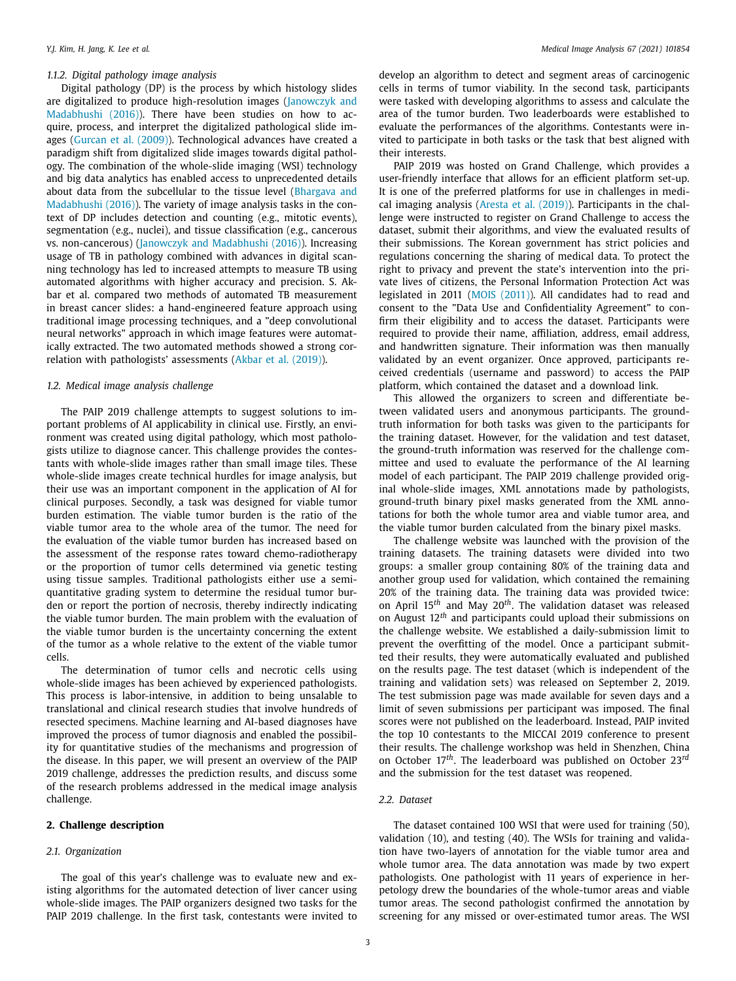# *1.1.2. Digital pathology image analysis*

Digital pathology (DP) is the process by which histology slides are digitalized to produce high-resolution images (Janowczyk and Madabhushi (2016)). There have been studies on how to acquire, process, and interpret the digitalized pathological slide images (Gurcan et al. (2009)). Technological advances have created a paradigm shift from digitalized slide images towards digital pathology. The combination of the whole-slide imaging (WSI) technology and big data analytics has enabled access to unprecedented details about data from the subcellular to the tissue level (Bhargava and Madabhushi (2016)). The variety of image analysis tasks in the context of DP includes detection and counting (e.g., mitotic events), segmentation (e.g., nuclei), and tissue classification (e.g., cancerous vs. non-cancerous) (Janowczyk and Madabhushi (2016)). Increasing usage of TB in pathology combined with advances in digital scanning technology has led to increased attempts to measure TB using automated algorithms with higher accuracy and precision. S. Akbar et al. compared two methods of automated TB measurement in breast cancer slides: a hand-engineered feature approach using traditional image processing techniques, and a "deep convolutional neural networks" approach in which image features were automatically extracted. The two automated methods showed a strong correlation with pathologists' assessments (Akbar et al. (2019)).

## *1.2. Medical image analysis challenge*

The PAIP 2019 challenge attempts to suggest solutions to important problems of AI applicability in clinical use. Firstly, an environment was created using digital pathology, which most pathologists utilize to diagnose cancer. This challenge provides the contestants with whole-slide images rather than small image tiles. These whole-slide images create technical hurdles for image analysis, but their use was an important component in the application of AI for clinical purposes. Secondly, a task was designed for viable tumor burden estimation. The viable tumor burden is the ratio of the viable tumor area to the whole area of the tumor. The need for the evaluation of the viable tumor burden has increased based on the assessment of the response rates toward chemo-radiotherapy or the proportion of tumor cells determined via genetic testing using tissue samples. Traditional pathologists either use a semiquantitative grading system to determine the residual tumor burden or report the portion of necrosis, thereby indirectly indicating the viable tumor burden. The main problem with the evaluation of the viable tumor burden is the uncertainty concerning the extent of the tumor as a whole relative to the extent of the viable tumor cells.

The determination of tumor cells and necrotic cells using whole-slide images has been achieved by experienced pathologists. This process is labor-intensive, in addition to being unsalable to translational and clinical research studies that involve hundreds of resected specimens. Machine learning and AI-based diagnoses have improved the process of tumor diagnosis and enabled the possibility for quantitative studies of the mechanisms and progression of the disease. In this paper, we will present an overview of the PAIP 2019 challenge, addresses the prediction results, and discuss some of the research problems addressed in the medical image analysis challenge.

# **2. Challenge description**

#### *2.1. Organization*

The goal of this year's challenge was to evaluate new and existing algorithms for the automated detection of liver cancer using whole-slide images. The PAIP organizers designed two tasks for the PAIP 2019 challenge. In the first task, contestants were invited to develop an algorithm to detect and segment areas of carcinogenic cells in terms of tumor viability. In the second task, participants were tasked with developing algorithms to assess and calculate the area of the tumor burden. Two leaderboards were established to evaluate the performances of the algorithms. Contestants were invited to participate in both tasks or the task that best aligned with their interests.

PAIP 2019 was hosted on Grand Challenge, which provides a user-friendly interface that allows for an efficient platform set-up. It is one of the preferred platforms for use in challenges in medical imaging analysis (Aresta et al. (2019)). Participants in the challenge were instructed to register on Grand Challenge to access the dataset, submit their algorithms, and view the evaluated results of their submissions. The Korean government has strict policies and regulations concerning the sharing of medical data. To protect the right to privacy and prevent the state's intervention into the private lives of citizens, the Personal Information Protection Act was legislated in 2011 (MOIS (2011)). All candidates had to read and consent to the "Data Use and Confidentiality Agreement" to confirm their eligibility and to access the dataset. Participants were required to provide their name, affiliation, address, email address, and handwritten signature. Their information was then manually validated by an event organizer. Once approved, participants received credentials (username and password) to access the PAIP platform, which contained the dataset and a download link.

This allowed the organizers to screen and differentiate between validated users and anonymous participants. The groundtruth information for both tasks was given to the participants for the training dataset. However, for the validation and test dataset, the ground-truth information was reserved for the challenge committee and used to evaluate the performance of the AI learning model of each participant. The PAIP 2019 challenge provided original whole-slide images, XML annotations made by pathologists, ground-truth binary pixel masks generated from the XML annotations for both the whole tumor area and viable tumor area, and the viable tumor burden calculated from the binary pixel masks.

The challenge website was launched with the provision of the training datasets. The training datasets were divided into two groups: a smaller group containing 80% of the training data and another group used for validation, which contained the remaining 20% of the training data. The training data was provided twice: on April 15*th* and May 20*th* . The validation dataset was released on August 12*th* and participants could upload their submissions on the challenge website. We established a daily-submission limit to prevent the overfitting of the model. Once a participant submitted their results, they were automatically evaluated and published on the results page. The test dataset (which is independent of the training and validation sets) was released on September 2, 2019. The test submission page was made available for seven days and a limit of seven submissions per participant was imposed. The final scores were not published on the leaderboard. Instead, PAIP invited the top 10 contestants to the MICCAI 2019 conference to present their results. The challenge workshop was held in Shenzhen, China on October 17*th* . The leaderboard was published on October 23*rd* and the submission for the test dataset was reopened.

# *2.2. Dataset*

The dataset contained 100 WSI that were used for training (50), validation (10), and testing (40). The WSIs for training and validation have two-layers of annotation for the viable tumor area and whole tumor area. The data annotation was made by two expert pathologists. One pathologist with 11 years of experience in herpetology drew the boundaries of the whole-tumor areas and viable tumor areas. The second pathologist confirmed the annotation by screening for any missed or over-estimated tumor areas. The WSI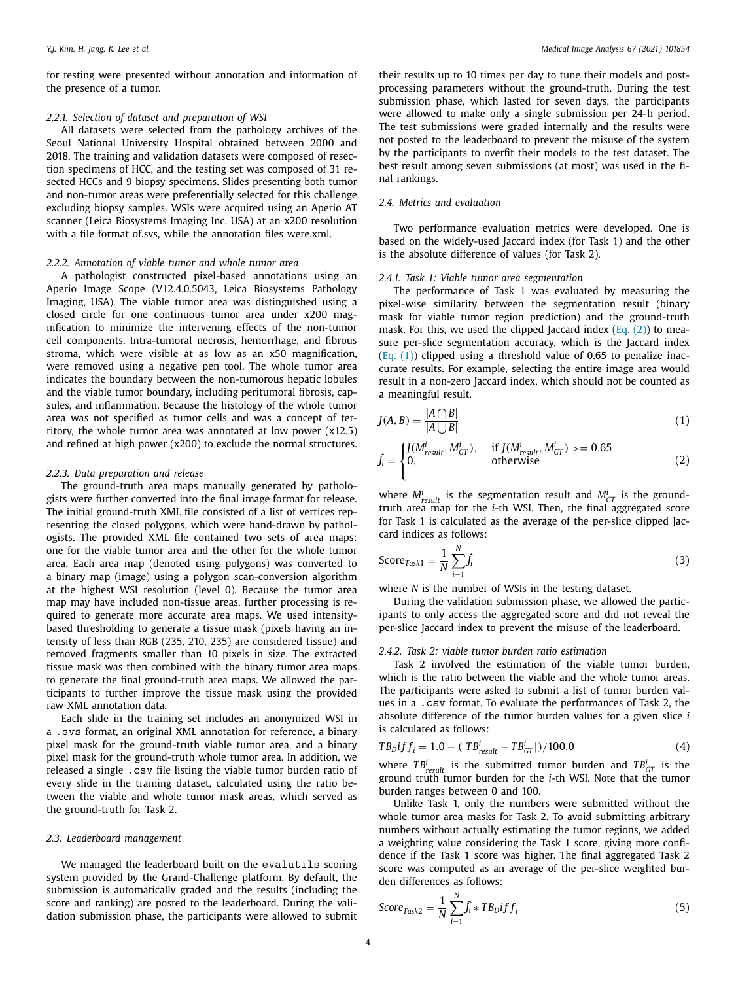for testing were presented without annotation and information of the presence of a tumor.

# *2.2.1. Selection of dataset and preparation of WSI*

All datasets were selected from the pathology archives of the Seoul National University Hospital obtained between 2000 and 2018. The training and validation datasets were composed of resection specimens of HCC, and the testing set was composed of 31 resected HCCs and 9 biopsy specimens. Slides presenting both tumor and non-tumor areas were preferentially selected for this challenge excluding biopsy samples. WSIs were acquired using an Aperio AT scanner (Leica Biosystems Imaging Inc. USA) at an x200 resolution with a file format of.svs, while the annotation files were.xml.

# *2.2.2. Annotation of viable tumor and whole tumor area*

A pathologist constructed pixel-based annotations using an Aperio Image Scope (V12.4.0.5043, Leica Biosystems Pathology Imaging, USA). The viable tumor area was distinguished using a closed circle for one continuous tumor area under x200 magnification to minimize the intervening effects of the non-tumor cell components. Intra-tumoral necrosis, hemorrhage, and fibrous stroma, which were visible at as low as an x50 magnification, were removed using a negative pen tool. The whole tumor area indicates the boundary between the non-tumorous hepatic lobules and the viable tumor boundary, including peritumoral fibrosis, capsules, and inflammation. Because the histology of the whole tumor area was not specified as tumor cells and was a concept of territory, the whole tumor area was annotated at low power (x12.5) and refined at high power (x200) to exclude the normal structures.

# *2.2.3. Data preparation and release*

The ground-truth area maps manually generated by pathologists were further converted into the final image format for release. The initial ground-truth XML file consisted of a list of vertices representing the closed polygons, which were hand-drawn by pathologists. The provided XML file contained two sets of area maps: one for the viable tumor area and the other for the whole tumor area. Each area map (denoted using polygons) was converted to a binary map (image) using a polygon scan-conversion algorithm at the highest WSI resolution (level 0). Because the tumor area map may have included non-tissue areas, further processing is required to generate more accurate area maps. We used intensitybased thresholding to generate a tissue mask (pixels having an intensity of less than RGB (235, 210, 235) are considered tissue) and removed fragments smaller than 10 pixels in size. The extracted tissue mask was then combined with the binary tumor area maps to generate the final ground-truth area maps. We allowed the participants to further improve the tissue mask using the provided raw XML annotation data.

Each slide in the training set includes an anonymized WSI in <sup>a</sup> .svs format, an original XML annotation for reference, <sup>a</sup> binary pixel mask for the ground-truth viable tumor area, and a binary pixel mask for the ground-truth whole tumor area. In addition, we released <sup>a</sup> single .csv file listing the viable tumor burden ratio of every slide in the training dataset, calculated using the ratio between the viable and whole tumor mask areas, which served as the ground-truth for Task 2.

#### *2.3. Leaderboard management*

We managed the leaderboard built on the evalutils scoring system provided by the Grand-Challenge platform. By default, the submission is automatically graded and the results (including the score and ranking) are posted to the leaderboard. During the validation submission phase, the participants were allowed to submit their results up to 10 times per day to tune their models and postprocessing parameters without the ground-truth. During the test submission phase, which lasted for seven days, the participants were allowed to make only a single submission per 24-h period. The test submissions were graded internally and the results were not posted to the leaderboard to prevent the misuse of the system by the participants to overfit their models to the test dataset. The best result among seven submissions (at most) was used in the final rankings.

# *2.4. Metrics and evaluation*

Two performance evaluation metrics were developed. One is based on the widely-used Jaccard index (for Task 1) and the other is the absolute difference of values (for Task 2).

## *2.4.1. Task 1: Viable tumor area segmentation*

The performance of Task 1 was evaluated by measuring the pixel-wise similarity between the segmentation result (binary mask for viable tumor region prediction) and the ground-truth mask. For this, we used the clipped Jaccard index  $(Eq. (2))$  to measure per-slice segmentation accuracy, which is the Jaccard index (Eq. (1)) clipped using a threshold value of 0.65 to penalize inaccurate results. For example, selecting the entire image area would result in a non-zero Jaccard index, which should not be counted as a meaningful result.

$$
J(A, B) = \frac{|A \cap B|}{|A \cup B|} \tag{1}
$$

$$
\hat{J}_i = \begin{cases}\nJ(M_{result}^i, M_{GT}^i), & \text{if } J(M_{result}^i, M_{GT}^i) >= 0.65 \\
0, & \text{otherwise}\n\end{cases} \tag{2}
$$

where  $M_{result}^i$  is the segmentation result and  $M_{GT}^i$  is the groundtruth area map for the *i*-th WSI. Then, the final aggregated score for Task 1 is calculated as the average of the per-slice clipped Jaccard indices as follows:

$$
\text{Score}_{\text{Task1}} = \frac{1}{N} \sum_{i=1}^{N} \hat{f}_i \tag{3}
$$

where *N* is the number of WSIs in the testing dataset.

During the validation submission phase, we allowed the participants to only access the aggregated score and did not reveal the per-slice Jaccard index to prevent the misuse of the leaderboard.

#### *2.4.2. Task 2: viable tumor burden ratio estimation*

Task 2 involved the estimation of the viable tumor burden, which is the ratio between the viable and the whole tumor areas. The participants were asked to submit a list of tumor burden values in <sup>a</sup> .csv format. To evaluate the performances of Task 2, the absolute difference of the tumor burden values for a given slice *i* is calculated as follows:

$$
TB_D if f_i = 1.0 - (|TB^i_{result} - TB^i_{GT}|)/100.0 \tag{4}
$$

where  $TB_{result}^i$  is the submitted tumor burden and  $TB_{GT}^i$  is the ground truth tumor burden for the *i*-th WSI. Note that the tumor burden ranges between 0 and 100.

Unlike Task 1, only the numbers were submitted without the whole tumor area masks for Task 2. To avoid submitting arbitrary numbers without actually estimating the tumor regions, we added a weighting value considering the Task 1 score, giving more confidence if the Task 1 score was higher. The final aggregated Task 2 score was computed as an average of the per-slice weighted burden differences as follows:

$$
Score_{Task2} = \frac{1}{N} \sum_{i=1}^{N} \hat{f}_i * T B_D if f_i
$$
\n(5)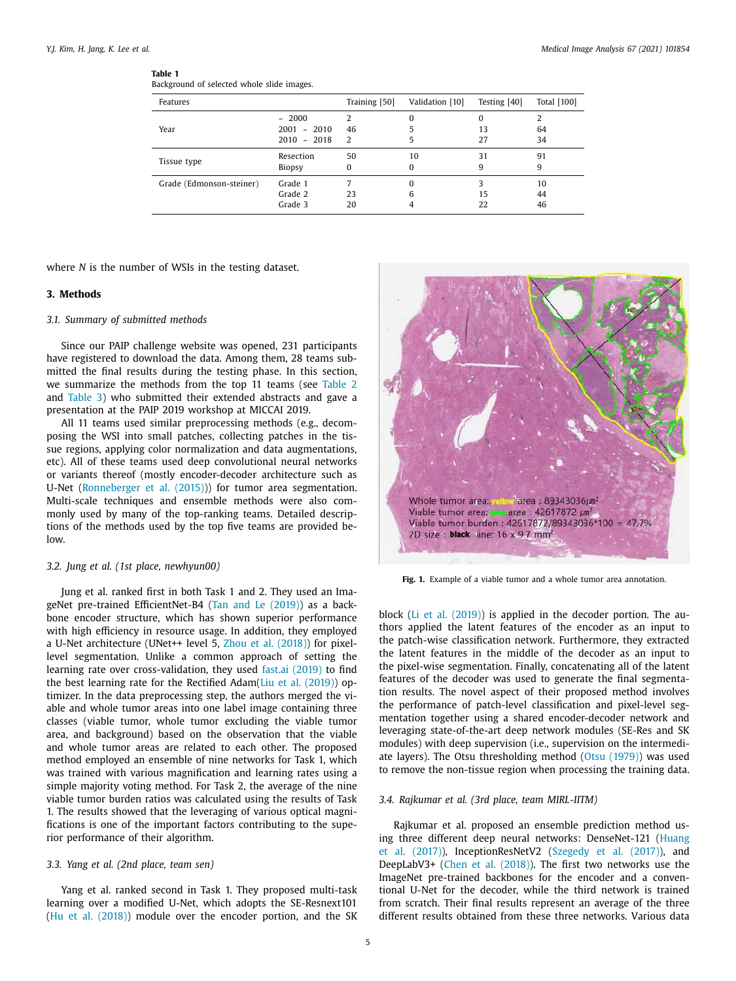# **Table 1**

Background of selected whole slide images.

| Features                 |                                         | Training [50] | Validation [10]    | Testing [40]  | Total [100]    |
|--------------------------|-----------------------------------------|---------------|--------------------|---------------|----------------|
| Year                     | ~1000<br>$2001 - 2010$<br>$2010 - 2018$ | 2<br>46<br>2  | 0<br>5             | 0<br>13<br>27 | 64<br>34       |
| Tissue type              | Resection<br><b>Biopsy</b>              | 50<br>0       | 10<br>0            | 31<br>9       | 91<br>9        |
| Grade (Edmonson-steiner) | Grade 1<br>Grade 2<br>Grade 3           | 23<br>20      | $\Omega$<br>6<br>4 | ς<br>15<br>22 | 10<br>44<br>46 |

where *N* is the number of WSIs in the testing dataset.

# **3. Methods**

## *3.1. Summary of submitted methods*

Since our PAIP challenge website was opened, 231 participants have registered to download the data. Among them, 28 teams submitted the final results during the testing phase. In this section, we summarize the methods from the top 11 teams (see Table 2 and Table 3) who submitted their extended abstracts and gave a presentation at the PAIP 2019 workshop at MICCAI 2019.

All 11 teams used similar preprocessing methods (e.g., decomposing the WSI into small patches, collecting patches in the tissue regions, applying color normalization and data augmentations, etc). All of these teams used deep convolutional neural networks or variants thereof (mostly encoder-decoder architecture such as U-Net (Ronneberger et al. (2015))) for tumor area segmentation. Multi-scale techniques and ensemble methods were also commonly used by many of the top-ranking teams. Detailed descriptions of the methods used by the top five teams are provided be $lnw$ 

### *3.2. Jung et al. (1st place, newhyun00)*

Jung et al. ranked first in both Task 1 and 2. They used an ImageNet pre-trained EfficientNet-B4 (Tan and Le (2019)) as a backbone encoder structure, which has shown superior performance with high efficiency in resource usage. In addition, they employed a U-Net architecture (UNet++ level 5, Zhou et al. (2018)) for pixellevel segmentation. Unlike a common approach of setting the learning rate over cross-validation, they used fast.ai (2019) to find the best learning rate for the Rectified Adam(Liu et al. (2019)) optimizer. In the data preprocessing step, the authors merged the viable and whole tumor areas into one label image containing three classes (viable tumor, whole tumor excluding the viable tumor area, and background) based on the observation that the viable and whole tumor areas are related to each other. The proposed method employed an ensemble of nine networks for Task 1, which was trained with various magnification and learning rates using a simple majority voting method. For Task 2, the average of the nine viable tumor burden ratios was calculated using the results of Task 1. The results showed that the leveraging of various optical magnifications is one of the important factors contributing to the superior performance of their algorithm.

# *3.3. Yang et al. (2nd place, team sen)*

Yang et al. ranked second in Task 1. They proposed multi-task learning over a modified U-Net, which adopts the SE-Resnext101 (Hu et al. (2018)) module over the encoder portion, and the SK



**Fig. 1.** Example of a viable tumor and a whole tumor area annotation.

block (Li et al. (2019)) is applied in the decoder portion. The authors applied the latent features of the encoder as an input to the patch-wise classification network. Furthermore, they extracted the latent features in the middle of the decoder as an input to the pixel-wise segmentation. Finally, concatenating all of the latent features of the decoder was used to generate the final segmentation results. The novel aspect of their proposed method involves the performance of patch-level classification and pixel-level segmentation together using a shared encoder-decoder network and leveraging state-of-the-art deep network modules (SE-Res and SK modules) with deep supervision (i.e., supervision on the intermediate layers). The Otsu thresholding method (Otsu (1979)) was used to remove the non-tissue region when processing the training data.

# *3.4. Rajkumar et al. (3rd place, team MIRL-IITM)*

Rajkumar et al. proposed an ensemble prediction method using three different deep neural networks: DenseNet-121 (Huang et al. (2017)), InceptionResNetV2 (Szegedy et al. (2017)), and DeepLabV3+ (Chen et al. (2018)). The first two networks use the ImageNet pre-trained backbones for the encoder and a conventional U-Net for the decoder, while the third network is trained from scratch. Their final results represent an average of the three different results obtained from these three networks. Various data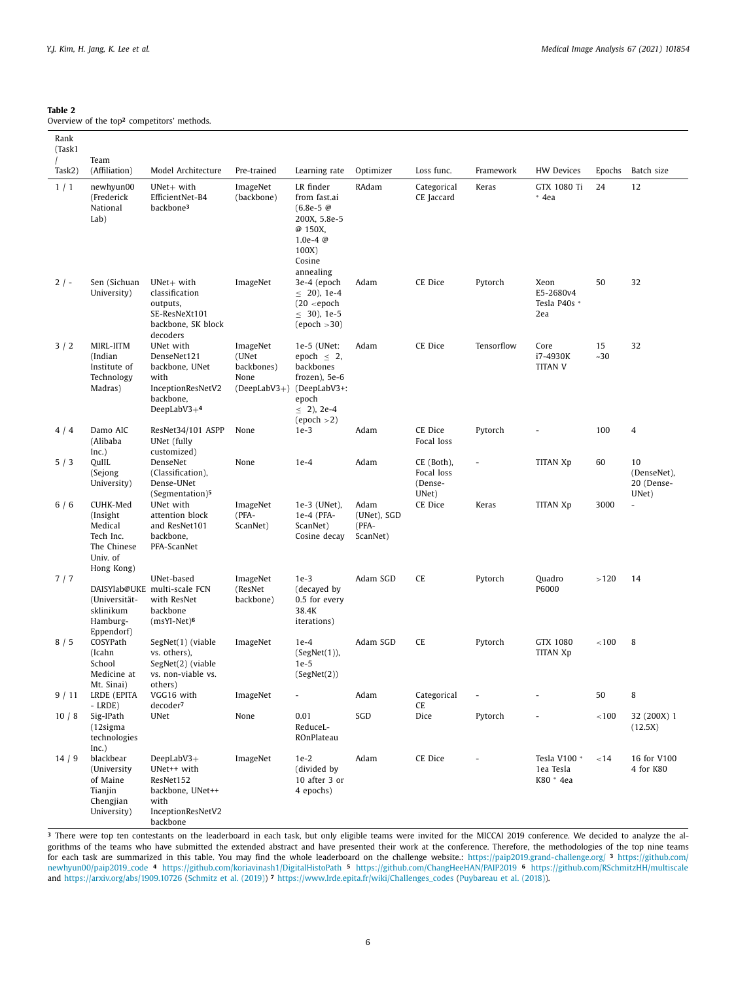# **Table 2**

Overview of the top**<sup>2</sup>** competitors' methods.

| Rank<br>(Task1 |                                                                                        |                                                                                                        |                                                                      |                                                                                                                  |                                          |                                              |                |                                          |             |                                          |
|----------------|----------------------------------------------------------------------------------------|--------------------------------------------------------------------------------------------------------|----------------------------------------------------------------------|------------------------------------------------------------------------------------------------------------------|------------------------------------------|----------------------------------------------|----------------|------------------------------------------|-------------|------------------------------------------|
| Task2)         | Team<br>(Affiliation)                                                                  | Model Architecture                                                                                     | Pre-trained                                                          | Learning rate                                                                                                    | Optimizer                                | Loss func.                                   | Framework      | <b>HW Devices</b>                        | Epochs      | Batch size                               |
| 1/1            | newhyun00<br>(Frederick<br>National<br>Lab)                                            | $UNet+$ with<br>EfficientNet-B4<br>backbone <sup>3</sup>                                               | ImageNet<br>(backbone)                                               | LR finder<br>from fast.ai<br>$(6.8e-5)$<br>200X, 5.8e-5<br>@ 150X,<br>1.0e-4 $@$<br>100X)<br>Cosine<br>annealing | RAdam                                    | Categorical<br>CE Jaccard                    | Keras          | GTX 1080 Ti<br>$*$ 4ea                   | 24          | 12                                       |
| $2$ / -        | Sen (Sichuan<br>University)                                                            | $UNet+$ with<br>classification<br>outputs,<br>SE-ResNeXt101<br>backbone, SK block<br>decoders          | ImageNet                                                             | 3e-4 (epoch<br>$\leq$ 20), 1e-4<br>$(20$ <epoch<br><math>\leq</math> 30), 1e-5<br/>(epoch &gt; 30)</epoch<br>    | Adam                                     | CE Dice                                      | Pytorch        | Xeon<br>E5-2680v4<br>Tesla P40s *<br>2ea | 50          | 32                                       |
| 3/2            | MIRL-IITM<br>(Indian<br>Institute of<br>Technology<br>Madras)                          | UNet with<br>DenseNet121<br>backbone, UNet<br>with<br>InceptionResNetV2<br>backbone,<br>DeepLabV3 $+4$ | ImageNet<br>(UNet<br>backbones)<br>None<br>(DeepLabV3+) (DeepLabV3+: | 1e-5 (UNet:<br>epoch $\leq$ 2,<br>backbones<br>frozen), 5e-6<br>epoch<br>$\leq$ 2), 2e-4<br>(epoch >2)           | Adam                                     | CE Dice                                      | Tensorflow     | Core<br>i7-4930K<br><b>TITAN V</b>       | 15<br>$-30$ | 32                                       |
| 4/4            | Damo AIC<br>(Alibaba<br>Inc.)                                                          | ResNet34/101 ASPP<br>UNet (fully<br>customized)                                                        | None                                                                 | $1e-3$                                                                                                           | Adam                                     | CE Dice<br>Focal loss                        | Pytorch        |                                          | 100         | 4                                        |
| 5/3            | QuIIL<br>(Sejong<br>University)                                                        | DenseNet<br>(Classification),<br>Dense-UNet<br>(Segmentation) <sup>5</sup>                             | None                                                                 | $1e-4$                                                                                                           | Adam                                     | CE (Both),<br>Focal loss<br>(Dense-<br>UNet) |                | TITAN Xp                                 | 60          | 10<br>(DenseNet),<br>20 (Dense-<br>UNet) |
| 6/6            | CUHK-Med<br>(Insight)<br>Medical<br>Tech Inc.<br>The Chinese<br>Univ. of<br>Hong Kong) | UNet with<br>attention block<br>and ResNet101<br>backbone,<br>PFA-ScanNet                              | ImageNet<br>(PFA-<br>ScanNet)                                        | 1e-3 (UNet),<br>1e-4 (PFA-<br>ScanNet)<br>Cosine decay                                                           | Adam<br>(UNet), SGD<br>(PFA-<br>ScanNet) | CE Dice                                      | Keras          | <b>TITAN Xp</b>                          | 3000        | $\overline{a}$                           |
| 7/7            | (Universität-<br>sklinikum<br>Hamburg-<br>Eppendorf)                                   | UNet-based<br>DAISYlab@UKE multi-scale FCN<br>with ResNet<br>backbone<br>$(msYI-Net)$ <sup>6</sup>     | ImageNet<br>(ResNet<br>backbone)                                     | $1e-3$<br>(decayed by<br>0.5 for every<br>38.4K<br>iterations)                                                   | Adam SGD                                 | <b>CE</b>                                    | Pytorch        | Quadro<br>P6000                          | >120        | 14                                       |
| 8/5            | COSYPath<br>(Icahn<br>School<br>Medicine at<br>Mt. Sinai)                              | SegNet(1) (viable<br>vs. others),<br>SegNet(2) (viable<br>vs. non-viable vs.<br>others)                | ImageNet                                                             | $1e-4$<br>(SegNet(1)),<br>$1e-5$<br>(SegNet(2))                                                                  | Adam SGD                                 | CE                                           | Pytorch        | GTX 1080<br><b>TITAN Xp</b>              | < 100       | 8                                        |
| 9/11           | LRDE (EPITA<br>$-LRDE$ )                                                               | VGG16 with<br>decoder <sup>7</sup>                                                                     | ImageNet                                                             | $\overline{\phantom{a}}$                                                                                         | Adam                                     | Categorical<br>CE                            | $\overline{a}$ |                                          | 50          | 8                                        |
| 10/8           | Sig-IPath<br>$(12$ sigma<br>technologies<br>Inc.)                                      | <b>UNet</b>                                                                                            | None                                                                 | 0.01<br>ReduceL-<br>ROnPlateau                                                                                   | SGD                                      | Dice                                         | Pytorch        |                                          | < 100       | 32 (200X) 1<br>(12.5X)                   |
| 14/9           | blackbear<br>(University<br>of Maine<br>Tianjin<br>Chengjian<br>University)            | DeepLabV3+<br>UNet++ with<br>ResNet152<br>backbone, UNet++<br>with<br>InceptionResNetV2<br>backbone    | ImageNet                                                             | $1e-2$<br>(divided by<br>10 after 3 or<br>4 epochs)                                                              | Adam                                     | CE Dice                                      |                | Tesla V100 *<br>1ea Tesla<br>K80 * 4ea   | < 14        | 16 for V100<br>4 for K80                 |

**<sup>3</sup>** There were top ten contestants on the leaderboard in each task, but only eligible teams were invited for the MICCAI 2019 conference. We decided to analyze the algorithms of the teams who have submitted the extended abstract and have presented their work at the conference. Therefore, the methodologies of the top nine teams for each task are summarized in this table. You may find the whole leaderboard on the challenge website.: https://paip2019.grand-challenge.org/ **<sup>3</sup>** https://github.com/ newhyun00/paip2019\_code **<sup>4</sup>** https://github.com/koriavinash1/DigitalHistoPath **<sup>5</sup>** https://github.com/ChangHeeHAN/PAIP2019 **<sup>6</sup>** https://github.com/RSchmitzHH/multiscale and https://arxiv.org/abs/1909.10726 (Schmitz et al. (2019)) **<sup>7</sup>** https://www.lrde.epita.fr/wiki/Challenges\_codes (Puybareau et al. (2018)).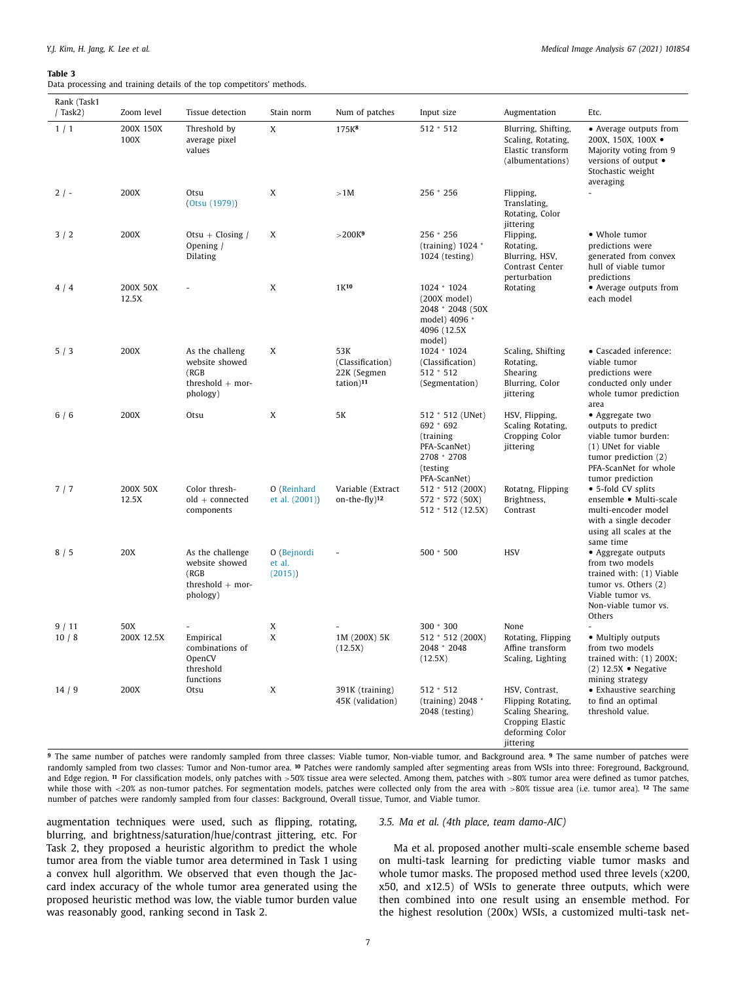#### **Table 3**

Data processing and training details of the top competitors' methods.

| Rank (Task1<br>$/$ Task $2)$ | Zoom level        | Tissue detection                                                              | Stain norm                      | Num of patches                                                  | Input size                                                                                             | Augmentation                                                                                                  | Etc.                                                                                                                                                      |
|------------------------------|-------------------|-------------------------------------------------------------------------------|---------------------------------|-----------------------------------------------------------------|--------------------------------------------------------------------------------------------------------|---------------------------------------------------------------------------------------------------------------|-----------------------------------------------------------------------------------------------------------------------------------------------------------|
| 1/1                          | 200X 150X<br>100X | Threshold by<br>average pixel<br>values                                       | X                               | 175K <sup>8</sup>                                               | $512 * 512$                                                                                            | Blurring, Shifting,<br>Scaling, Rotating,<br>Elastic transform<br>(albumentations)                            | • Average outputs from<br>200X, 150X, 100X ·<br>Majority voting from 9<br>versions of output •<br>Stochastic weight<br>averaging                          |
| $2/-$                        | 200X              | Otsu<br>(0tsu (1979))                                                         | X                               | >1M                                                             | 256 * 256                                                                                              | Flipping,<br>Translating,<br>Rotating, Color<br>jittering                                                     |                                                                                                                                                           |
| 3/2                          | 200X              | Otsu + Closing /<br>Opening /<br>Dilating                                     | X                               | >200K <sup>9</sup>                                              | 256 * 256<br>(training) $1024$ *<br>1024 (testing)                                                     | Flipping,<br>Rotating,<br>Blurring, HSV,<br>Contrast Center<br>perturbation                                   | • Whole tumor<br>predictions were<br>generated from convex<br>hull of viable tumor<br>predictions                                                         |
| 4/4                          | 200X 50X<br>12.5X |                                                                               | X                               | 1K10                                                            | 1024 * 1024<br>$(200X \text{ model})$<br>2048 * 2048 (50X<br>model) 4096 *<br>4096 (12.5X)<br>model)   | Rotating                                                                                                      | • Average outputs from<br>each model                                                                                                                      |
| 5/3                          | 200X              | As the challeng<br>website showed<br>(RGB)<br>threshold $+$ mor-<br>phology)  | X                               | 53K<br>(Classification)<br>22K (Segmen<br>tation) <sup>11</sup> | 1024 * 1024<br>(Classification)<br>$512 * 512$<br>(Segmentation)                                       | Scaling, Shifting<br>Rotating,<br>Shearing<br>Blurring, Color<br>jittering                                    | • Cascaded inference:<br>viable tumor<br>predictions were<br>conducted only under<br>whole tumor prediction<br>area                                       |
| 6/6                          | 200X              | Otsu                                                                          | X                               | 5K                                                              | 512 * 512 (UNet)<br>692 * 692<br>(training<br>PFA-ScanNet)<br>2708 * 2708<br>(testing)<br>PFA-ScanNet) | HSV, Flipping,<br>Scaling Rotating,<br>Cropping Color<br>jittering                                            | • Aggregate two<br>outputs to predict<br>viable tumor burden:<br>(1) UNet for viable<br>tumor prediction (2)<br>PFA-ScanNet for whole<br>tumor prediction |
| 7/7                          | 200X 50X<br>12.5X | Color thresh-<br>$old + connected$<br>components                              | O (Reinhard<br>et al. (2001))   | Variable (Extract<br>on-the-fly) <sup>12</sup>                  | 512 * 512 (200X)<br>572 * 572 (50X)<br>512 * 512 (12.5X)                                               | Rotatng, Flipping<br>Brightness,<br>Contrast                                                                  | • 5-fold CV splits<br>ensemble • Multi-scale<br>multi-encoder model<br>with a single decoder<br>using all scales at the<br>same time                      |
| 8/5                          | 20X               | As the challenge<br>website showed<br>(RGB)<br>threshold $+$ mor-<br>phology) | O (Bejnordi<br>et al.<br>(2015) |                                                                 | 500 * 500                                                                                              | <b>HSV</b>                                                                                                    | • Aggregate outputs<br>from two models<br>trained with: (1) Viable<br>tumor vs. Others (2)<br>Viable tumor vs.<br>Non-viable tumor vs.<br>Others          |
| 9/11<br>10/8                 | 50X<br>200X 12.5X | Empirical<br>combinations of<br>OpenCV<br>threshold<br>functions              | X<br>X                          | 1M (200X) 5K<br>(12.5X)                                         | 300 * 300<br>512 * 512 (200X)<br>2048 * 2048<br>(12.5X)                                                | None<br>Rotating, Flipping<br>Affine transform<br>Scaling, Lighting                                           | • Multiply outputs<br>from two models<br>trained with: $(1)$ 200X;<br>$(2)$ 12.5X • Negative<br>mining strategy                                           |
| 14/9                         | 200X              | Otsu                                                                          | X                               | 391K (training)<br>45K (validation)                             | $512 * 512$<br>(training) $2048$ $*$<br>2048 (testing)                                                 | HSV, Contrast,<br>Flipping Rotating,<br>Scaling Shearing,<br>Cropping Elastic<br>deforming Color<br>jittering | • Exhaustive searching<br>to find an optimal<br>threshold value.                                                                                          |

**<sup>9</sup>** The same number of patches were randomly sampled from three classes: Viable tumor, Non-viable tumor, and Background area. **<sup>9</sup>** The same number of patches were randomly sampled from two classes: Tumor and Non-tumor area. **<sup>10</sup>** Patches were randomly sampled after segmenting areas from WSIs into three: Foreground, Background, and Edge region. <sup>11</sup> For classification models, only patches with >50% tissue area were selected. Among them, patches with >80% tumor area were defined as tumor patches, while those with <20% as non-tumor patches. For segmentation models, patches were collected only from the area with >80% tissue area (i.e. tumor area). <sup>12</sup> The same number of patches were randomly sampled from four classes: Background, Overall tissue, Tumor, and Viable tumor.

augmentation techniques were used, such as flipping, rotating, blurring, and brightness/saturation/hue/contrast jittering, etc. For Task 2, they proposed a heuristic algorithm to predict the whole tumor area from the viable tumor area determined in Task 1 using a convex hull algorithm. We observed that even though the Jaccard index accuracy of the whole tumor area generated using the proposed heuristic method was low, the viable tumor burden value was reasonably good, ranking second in Task 2.

# *3.5. Ma et al. (4th place, team damo-AIC)*

Ma et al. proposed another multi-scale ensemble scheme based on multi-task learning for predicting viable tumor masks and whole tumor masks. The proposed method used three levels (x200, x50, and x12.5) of WSIs to generate three outputs, which were then combined into one result using an ensemble method. For the highest resolution (200x) WSIs, a customized multi-task net-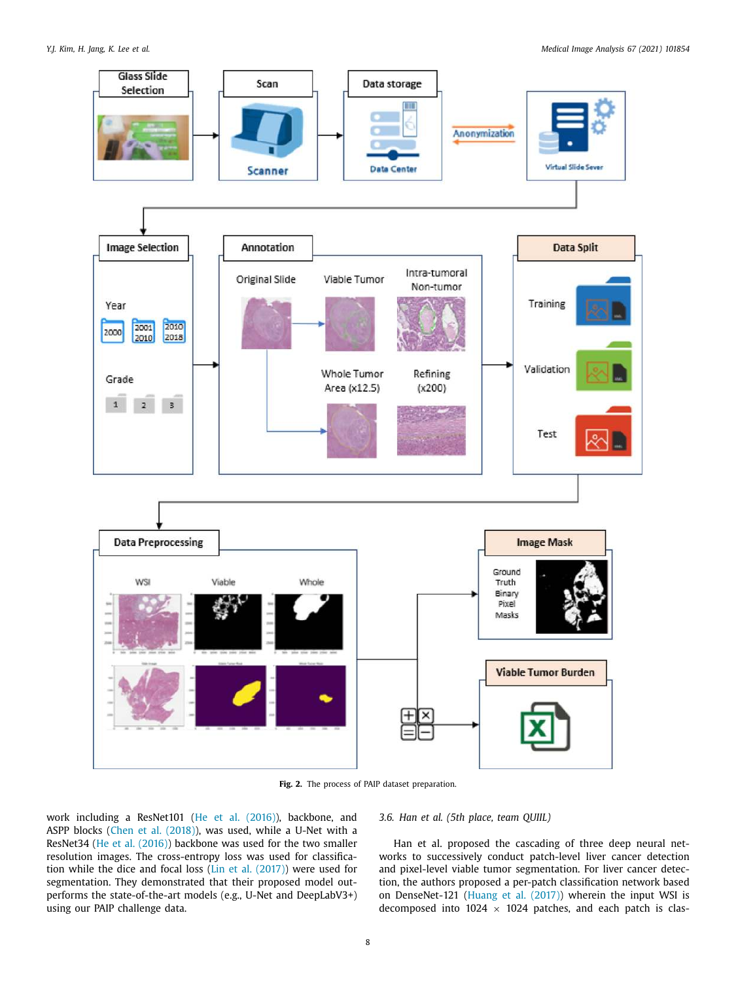

**Fig. 2.** The process of PAIP dataset preparation.

work including a ResNet101 (He et al. (2016)), backbone, and ASPP blocks (Chen et al. (2018)), was used, while a U-Net with a ResNet34 (He et al. (2016)) backbone was used for the two smaller resolution images. The cross-entropy loss was used for classification while the dice and focal loss (Lin et al. (2017)) were used for segmentation. They demonstrated that their proposed model outperforms the state-of-the-art models (e.g., U-Net and DeepLabV3+) using our PAIP challenge data.

*3.6. Han et al. (5th place, team QUIIL)*

Han et al. proposed the cascading of three deep neural networks to successively conduct patch-level liver cancer detection and pixel-level viable tumor segmentation. For liver cancer detection, the authors proposed a per-patch classification network based on DenseNet-121 (Huang et al. (2017)) wherein the input WSI is decomposed into  $1024 \times 1024$  patches, and each patch is clas-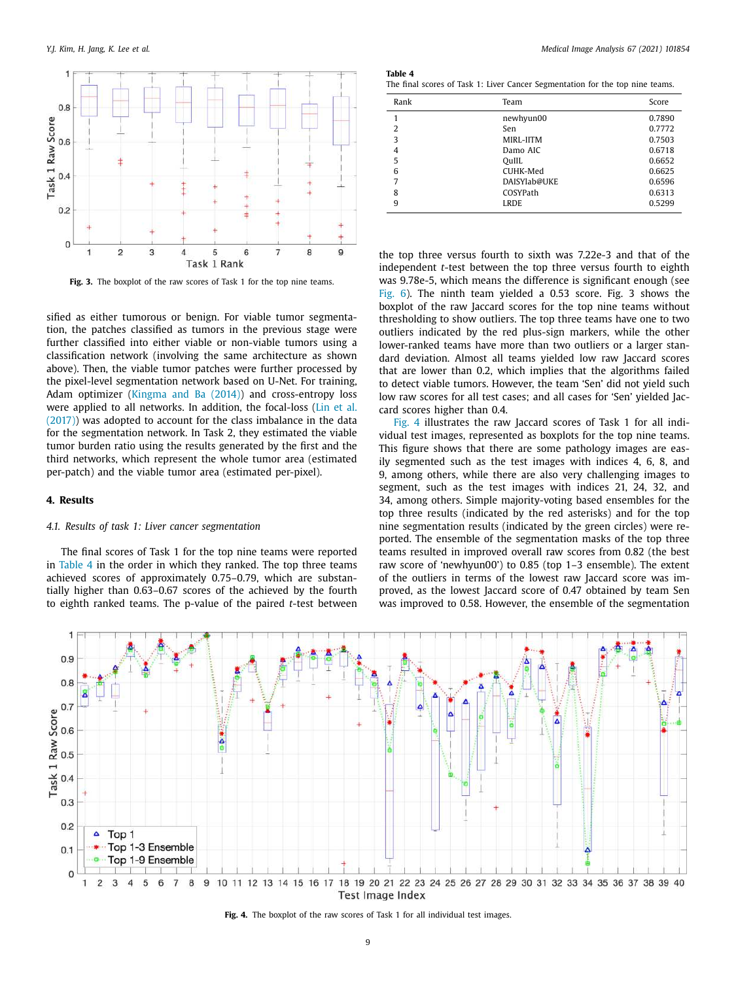

**Fig. 3.** The boxplot of the raw scores of Task 1 for the top nine teams.

sified as either tumorous or benign. For viable tumor segmentation, the patches classified as tumors in the previous stage were further classified into either viable or non-viable tumors using a classification network (involving the same architecture as shown above). Then, the viable tumor patches were further processed by the pixel-level segmentation network based on U-Net. For training, Adam optimizer (Kingma and Ba (2014)) and cross-entropy loss were applied to all networks. In addition, the focal-loss (Lin et al. (2017)) was adopted to account for the class imbalance in the data for the segmentation network. In Task 2, they estimated the viable tumor burden ratio using the results generated by the first and the third networks, which represent the whole tumor area (estimated per-patch) and the viable tumor area (estimated per-pixel).

## **4. Results**

# *4.1. Results of task 1: Liver cancer segmentation*

The final scores of Task 1 for the top nine teams were reported in Table 4 in the order in which they ranked. The top three teams achieved scores of approximately 0.75–0.79, which are substantially higher than 0.63–0.67 scores of the achieved by the fourth to eighth ranked teams. The p-value of the paired *t*-test between

**Table 4** The final scores of Task 1: Liver Cancer Segmentation for the top nine teams.

| Rank | Team         | Score  |
|------|--------------|--------|
|      | newhyun00    | 0.7890 |
| 2    | Sen          | 0.7772 |
| 3    | MIRL-IITM    | 0.7503 |
| 4    | Damo AIC     | 0.6718 |
| 5    | QuIIL        | 0.6652 |
| 6    | CUHK-Med     | 0.6625 |
| 7    | DAISYlab@UKE | 0.6596 |
| 8    | COSYPath     | 0.6313 |
| 9    | <b>LRDE</b>  | 0.5299 |

the top three versus fourth to sixth was 7.22e-3 and that of the independent *t*-test between the top three versus fourth to eighth was 9.78e-5, which means the difference is significant enough (see Fig. 6). The ninth team yielded a 0.53 score. Fig. 3 shows the boxplot of the raw Jaccard scores for the top nine teams without thresholding to show outliers. The top three teams have one to two outliers indicated by the red plus-sign markers, while the other lower-ranked teams have more than two outliers or a larger standard deviation. Almost all teams yielded low raw Jaccard scores that are lower than 0.2, which implies that the algorithms failed to detect viable tumors. However, the team 'Sen' did not yield such low raw scores for all test cases; and all cases for 'Sen' yielded Jaccard scores higher than 0.4.

Fig. 4 illustrates the raw Jaccard scores of Task 1 for all individual test images, represented as boxplots for the top nine teams. This figure shows that there are some pathology images are easily segmented such as the test images with indices 4, 6, 8, and 9, among others, while there are also very challenging images to segment, such as the test images with indices 21, 24, 32, and 34, among others. Simple majority-voting based ensembles for the top three results (indicated by the red asterisks) and for the top nine segmentation results (indicated by the green circles) were reported. The ensemble of the segmentation masks of the top three teams resulted in improved overall raw scores from 0.82 (the best raw score of 'newhyun00') to 0.85 (top 1–3 ensemble). The extent of the outliers in terms of the lowest raw Jaccard score was improved, as the lowest Jaccard score of 0.47 obtained by team Sen was improved to 0.58. However, the ensemble of the segmentation



**Fig. 4.** The boxplot of the raw scores of Task 1 for all individual test images.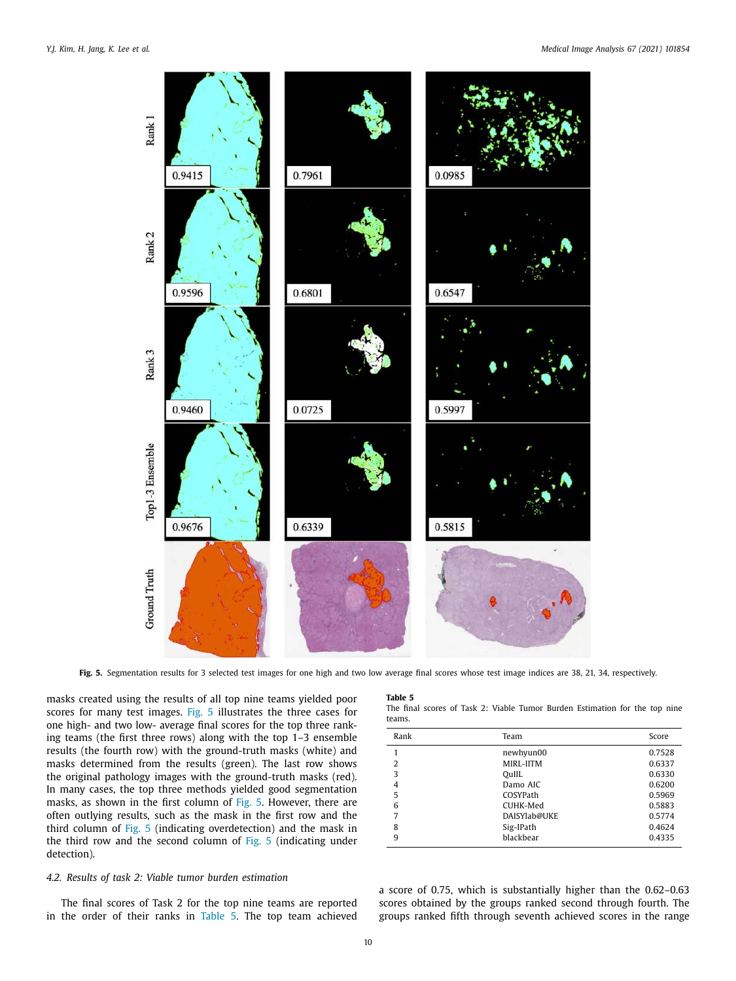

**Fig. 5.** Segmentation results for 3 selected test images for one high and two low average final scores whose test image indices are 38, 21, 34, respectively.

masks created using the results of all top nine teams yielded poor scores for many test images. Fig. 5 illustrates the three cases for one high- and two low- average final scores for the top three ranking teams (the first three rows) along with the top 1–3 ensemble results (the fourth row) with the ground-truth masks (white) and masks determined from the results (green). The last row shows the original pathology images with the ground-truth masks (red). In many cases, the top three methods yielded good segmentation masks, as shown in the first column of Fig. 5. However, there are often outlying results, such as the mask in the first row and the third column of Fig. 5 (indicating overdetection) and the mask in the third row and the second column of Fig. 5 (indicating under detection).

# *4.2. Results of task 2: Viable tumor burden estimation*

The final scores of Task 2 for the top nine teams are reported in the order of their ranks in Table 5. The top team achieved

## **Table 5**

The final scores of Task 2: Viable Tumor Burden Estimation for the top nine teams.

| Rank | Team         | Score  |
|------|--------------|--------|
|      | newhyun00    | 0.7528 |
| 2    | MIRL-IITM    | 0.6337 |
| 3    | QuIIL        | 0.6330 |
| 4    | Damo AIC     | 0.6200 |
| 5    | COSYPath     | 0.5969 |
| 6    | CUHK-Med     | 0.5883 |
| 7    | DAISYlab@UKE | 0.5774 |
| 8    | Sig-IPath    | 0.4624 |
| 9    | blackbear    | 0.4335 |
|      |              |        |

a score of 0.75, which is substantially higher than the 0.62–0.63 scores obtained by the groups ranked second through fourth. The groups ranked fifth through seventh achieved scores in the range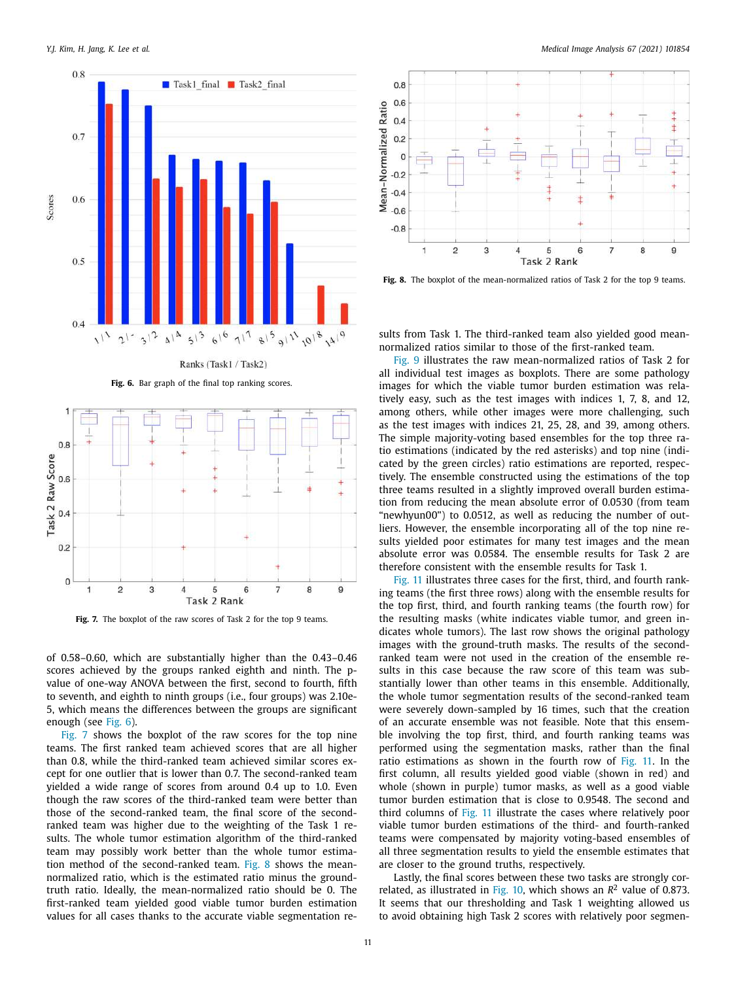

**Fig. 6.** Bar graph of the final top ranking scores.



**Fig. 7.** The boxplot of the raw scores of Task 2 for the top 9 teams.

of 0.58–0.60, which are substantially higher than the 0.43–0.46 scores achieved by the groups ranked eighth and ninth. The pvalue of one-way ANOVA between the first, second to fourth, fifth to seventh, and eighth to ninth groups (i.e., four groups) was 2.10e-5, which means the differences between the groups are significant enough (see Fig. 6).

Fig. 7 shows the boxplot of the raw scores for the top nine teams. The first ranked team achieved scores that are all higher than 0.8, while the third-ranked team achieved similar scores except for one outlier that is lower than 0.7. The second-ranked team yielded a wide range of scores from around 0.4 up to 1.0. Even though the raw scores of the third-ranked team were better than those of the second-ranked team, the final score of the secondranked team was higher due to the weighting of the Task 1 results. The whole tumor estimation algorithm of the third-ranked team may possibly work better than the whole tumor estimation method of the second-ranked team. Fig. 8 shows the meannormalized ratio, which is the estimated ratio minus the groundtruth ratio. Ideally, the mean-normalized ratio should be 0. The first-ranked team yielded good viable tumor burden estimation values for all cases thanks to the accurate viable segmentation re-



**Fig. 8.** The boxplot of the mean-normalized ratios of Task 2 for the top 9 teams.

sults from Task 1. The third-ranked team also yielded good meannormalized ratios similar to those of the first-ranked team.

Fig. 9 illustrates the raw mean-normalized ratios of Task 2 for all individual test images as boxplots. There are some pathology images for which the viable tumor burden estimation was relatively easy, such as the test images with indices 1, 7, 8, and 12, among others, while other images were more challenging, such as the test images with indices 21, 25, 28, and 39, among others. The simple majority-voting based ensembles for the top three ratio estimations (indicated by the red asterisks) and top nine (indicated by the green circles) ratio estimations are reported, respectively. The ensemble constructed using the estimations of the top three teams resulted in a slightly improved overall burden estimation from reducing the mean absolute error of 0.0530 (from team "newhyun00") to 0.0512, as well as reducing the number of outliers. However, the ensemble incorporating all of the top nine results yielded poor estimates for many test images and the mean absolute error was 0.0584. The ensemble results for Task 2 are therefore consistent with the ensemble results for Task 1.

Fig. 11 illustrates three cases for the first, third, and fourth ranking teams (the first three rows) along with the ensemble results for the top first, third, and fourth ranking teams (the fourth row) for the resulting masks (white indicates viable tumor, and green indicates whole tumors). The last row shows the original pathology images with the ground-truth masks. The results of the secondranked team were not used in the creation of the ensemble results in this case because the raw score of this team was substantially lower than other teams in this ensemble. Additionally, the whole tumor segmentation results of the second-ranked team were severely down-sampled by 16 times, such that the creation of an accurate ensemble was not feasible. Note that this ensemble involving the top first, third, and fourth ranking teams was performed using the segmentation masks, rather than the final ratio estimations as shown in the fourth row of Fig. 11. In the first column, all results yielded good viable (shown in red) and whole (shown in purple) tumor masks, as well as a good viable tumor burden estimation that is close to 0.9548. The second and third columns of Fig. 11 illustrate the cases where relatively poor viable tumor burden estimations of the third- and fourth-ranked teams were compensated by majority voting-based ensembles of all three segmentation results to yield the ensemble estimates that are closer to the ground truths, respectively.

Lastly, the final scores between these two tasks are strongly correlated, as illustrated in Fig. 10, which shows an  $R^2$  value of 0.873. It seems that our thresholding and Task 1 weighting allowed us to avoid obtaining high Task 2 scores with relatively poor segmen-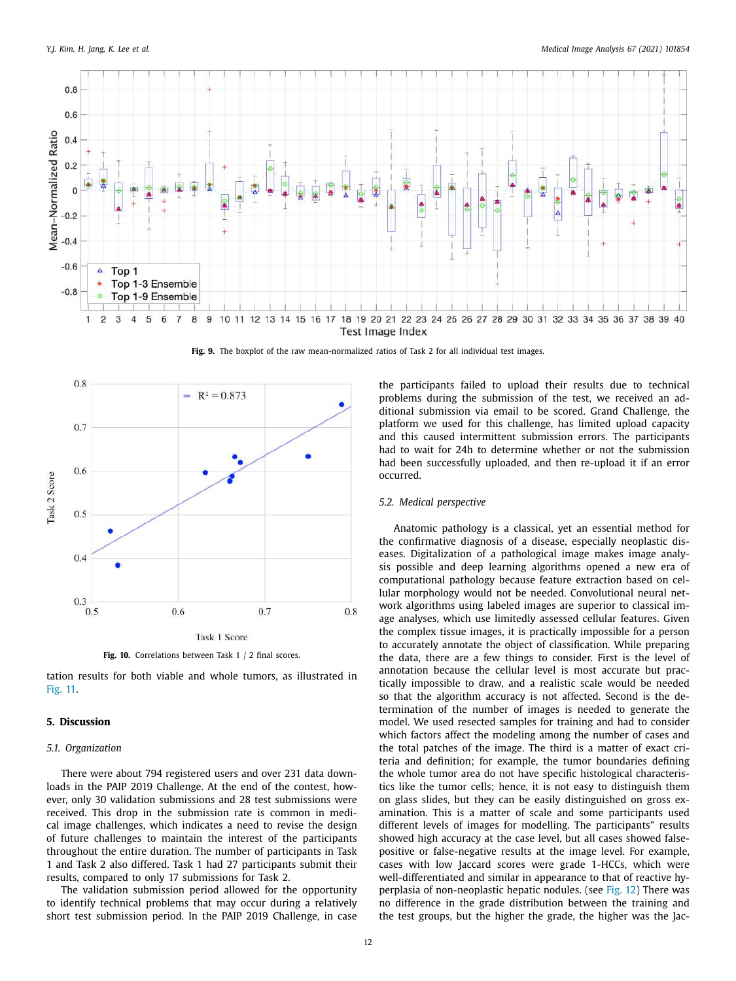

**Fig. 9.** The boxplot of the raw mean-normalized ratios of Task 2 for all individual test images.



tation results for both viable and whole tumors, as illustrated in Fig. 11.

# **5. Discussion**

#### *5.1. Organization*

There were about 794 registered users and over 231 data downloads in the PAIP 2019 Challenge. At the end of the contest, however, only 30 validation submissions and 28 test submissions were received. This drop in the submission rate is common in medical image challenges, which indicates a need to revise the design of future challenges to maintain the interest of the participants throughout the entire duration. The number of participants in Task 1 and Task 2 also differed. Task 1 had 27 participants submit their results, compared to only 17 submissions for Task 2.

The validation submission period allowed for the opportunity to identify technical problems that may occur during a relatively short test submission period. In the PAIP 2019 Challenge, in case the participants failed to upload their results due to technical problems during the submission of the test, we received an additional submission via email to be scored. Grand Challenge, the platform we used for this challenge, has limited upload capacity and this caused intermittent submission errors. The participants had to wait for 24h to determine whether or not the submission had been successfully uploaded, and then re-upload it if an error occurred.

# *5.2. Medical perspective*

Anatomic pathology is a classical, yet an essential method for the confirmative diagnosis of a disease, especially neoplastic diseases. Digitalization of a pathological image makes image analysis possible and deep learning algorithms opened a new era of computational pathology because feature extraction based on cellular morphology would not be needed. Convolutional neural network algorithms using labeled images are superior to classical image analyses, which use limitedly assessed cellular features. Given the complex tissue images, it is practically impossible for a person to accurately annotate the object of classification. While preparing the data, there are a few things to consider. First is the level of annotation because the cellular level is most accurate but practically impossible to draw, and a realistic scale would be needed so that the algorithm accuracy is not affected. Second is the determination of the number of images is needed to generate the model. We used resected samples for training and had to consider which factors affect the modeling among the number of cases and the total patches of the image. The third is a matter of exact criteria and definition; for example, the tumor boundaries defining the whole tumor area do not have specific histological characteristics like the tumor cells; hence, it is not easy to distinguish them on glass slides, but they can be easily distinguished on gross examination. This is a matter of scale and some participants used different levels of images for modelling. The participants" results showed high accuracy at the case level, but all cases showed falsepositive or false-negative results at the image level. For example, cases with low Jaccard scores were grade 1-HCCs, which were well-differentiated and similar in appearance to that of reactive hyperplasia of non-neoplastic hepatic nodules. (see Fig. 12) There was no difference in the grade distribution between the training and the test groups, but the higher the grade, the higher was the Jac-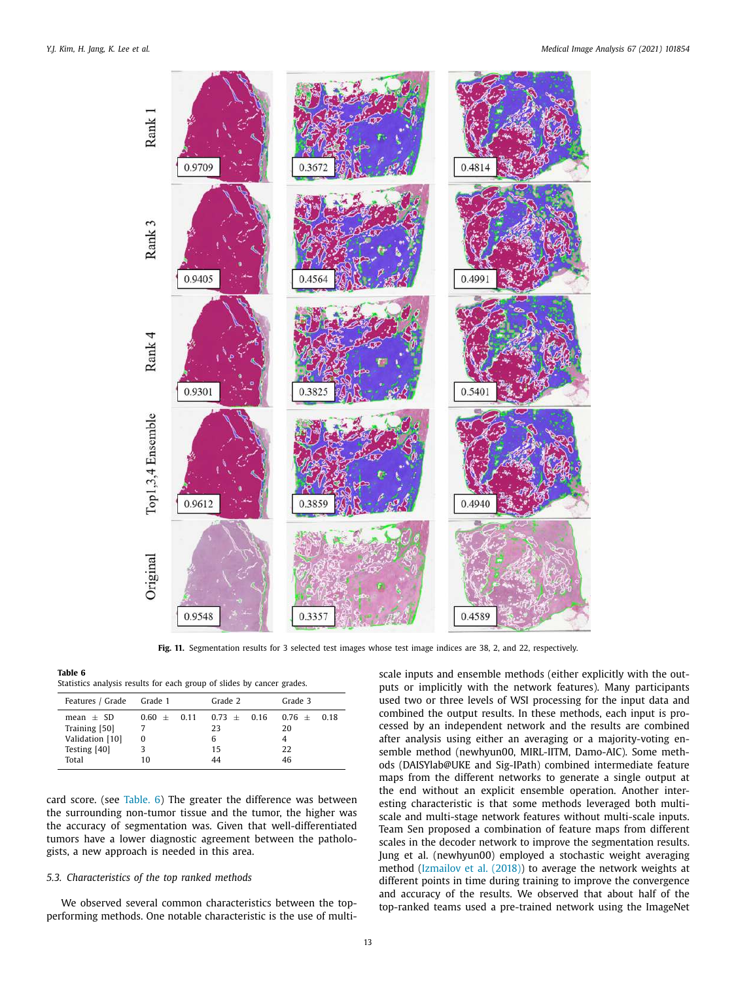

Fig. 11. Segmentation results for 3 selected test images whose test image indices are 38, 2, and 22, respectively.

**Table 6**

| Features / Grade Grade 1                                                 |                          | Grade 2                              | Grade 3                         |  |
|--------------------------------------------------------------------------|--------------------------|--------------------------------------|---------------------------------|--|
| $mean + SD$<br>Training [50]<br>Validation [10]<br>Testing [40]<br>Total | $0.60 + 0.11$<br>0<br>10 | $0.73 + 0.16$<br>23<br>6<br>15<br>44 | $0.76 + 0.18$<br>20<br>22<br>46 |  |

card score. (see Table. 6) The greater the difference was between the surrounding non-tumor tissue and the tumor, the higher was the accuracy of segmentation was. Given that well-differentiated tumors have a lower diagnostic agreement between the pathologists, a new approach is needed in this area.

# *5.3. Characteristics of the top ranked methods*

We observed several common characteristics between the topperforming methods. One notable characteristic is the use of multiscale inputs and ensemble methods (either explicitly with the outputs or implicitly with the network features). Many participants used two or three levels of WSI processing for the input data and combined the output results. In these methods, each input is processed by an independent network and the results are combined after analysis using either an averaging or a majority-voting ensemble method (newhyun00, MIRL-IITM, Damo-AIC). Some methods (DAISYlab@UKE and Sig-IPath) combined intermediate feature maps from the different networks to generate a single output at the end without an explicit ensemble operation. Another interesting characteristic is that some methods leveraged both multiscale and multi-stage network features without multi-scale inputs. Team Sen proposed a combination of feature maps from different scales in the decoder network to improve the segmentation results. Jung et al. (newhyun00) employed a stochastic weight averaging method (Izmailov et al. (2018)) to average the network weights at different points in time during training to improve the convergence and accuracy of the results. We observed that about half of the top-ranked teams used a pre-trained network using the ImageNet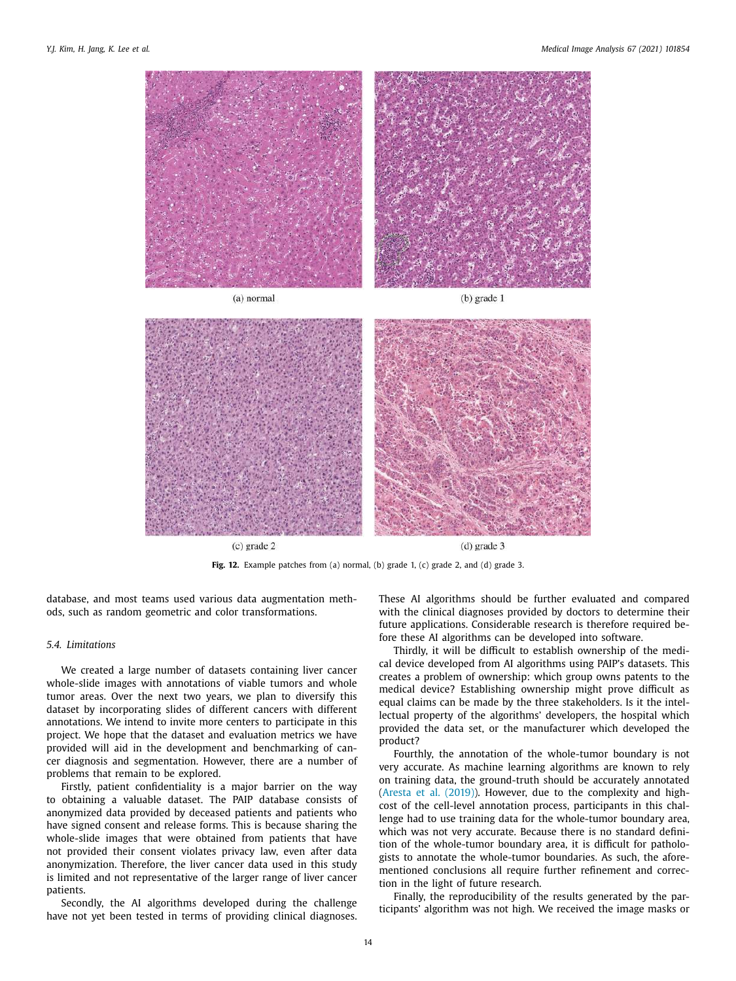

**Fig. 12.** Example patches from (a) normal, (b) grade 1, (c) grade 2, and (d) grade 3.

database, and most teams used various data augmentation methods, such as random geometric and color transformations.

# *5.4. Limitations*

We created a large number of datasets containing liver cancer whole-slide images with annotations of viable tumors and whole tumor areas. Over the next two years, we plan to diversify this dataset by incorporating slides of different cancers with different annotations. We intend to invite more centers to participate in this project. We hope that the dataset and evaluation metrics we have provided will aid in the development and benchmarking of cancer diagnosis and segmentation. However, there are a number of problems that remain to be explored.

Firstly, patient confidentiality is a major barrier on the way to obtaining a valuable dataset. The PAIP database consists of anonymized data provided by deceased patients and patients who have signed consent and release forms. This is because sharing the whole-slide images that were obtained from patients that have not provided their consent violates privacy law, even after data anonymization. Therefore, the liver cancer data used in this study is limited and not representative of the larger range of liver cancer patients.

Secondly, the AI algorithms developed during the challenge have not yet been tested in terms of providing clinical diagnoses. These AI algorithms should be further evaluated and compared with the clinical diagnoses provided by doctors to determine their future applications. Considerable research is therefore required before these AI algorithms can be developed into software.

Thirdly, it will be difficult to establish ownership of the medical device developed from AI algorithms using PAIP's datasets. This creates a problem of ownership: which group owns patents to the medical device? Establishing ownership might prove difficult as equal claims can be made by the three stakeholders. Is it the intellectual property of the algorithms' developers, the hospital which provided the data set, or the manufacturer which developed the product?

Fourthly, the annotation of the whole-tumor boundary is not very accurate. As machine learning algorithms are known to rely on training data, the ground-truth should be accurately annotated (Aresta et al. (2019)). However, due to the complexity and highcost of the cell-level annotation process, participants in this challenge had to use training data for the whole-tumor boundary area, which was not very accurate. Because there is no standard definition of the whole-tumor boundary area, it is difficult for pathologists to annotate the whole-tumor boundaries. As such, the aforementioned conclusions all require further refinement and correction in the light of future research.

Finally, the reproducibility of the results generated by the participants' algorithm was not high. We received the image masks or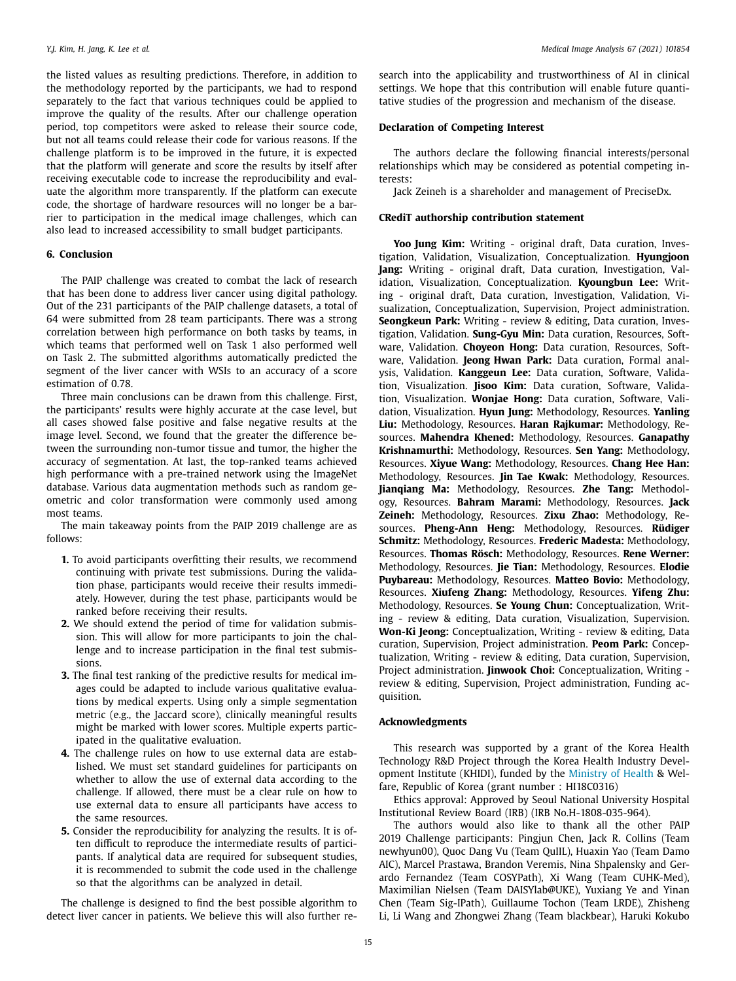the listed values as resulting predictions. Therefore, in addition to the methodology reported by the participants, we had to respond separately to the fact that various techniques could be applied to improve the quality of the results. After our challenge operation period, top competitors were asked to release their source code, but not all teams could release their code for various reasons. If the challenge platform is to be improved in the future, it is expected that the platform will generate and score the results by itself after receiving executable code to increase the reproducibility and evaluate the algorithm more transparently. If the platform can execute code, the shortage of hardware resources will no longer be a barrier to participation in the medical image challenges, which can also lead to increased accessibility to small budget participants.

# **6. Conclusion**

The PAIP challenge was created to combat the lack of research that has been done to address liver cancer using digital pathology. Out of the 231 participants of the PAIP challenge datasets, a total of 64 were submitted from 28 team participants. There was a strong correlation between high performance on both tasks by teams, in which teams that performed well on Task 1 also performed well on Task 2. The submitted algorithms automatically predicted the segment of the liver cancer with WSIs to an accuracy of a score estimation of 0.78.

Three main conclusions can be drawn from this challenge. First, the participants' results were highly accurate at the case level, but all cases showed false positive and false negative results at the image level. Second, we found that the greater the difference between the surrounding non-tumor tissue and tumor, the higher the accuracy of segmentation. At last, the top-ranked teams achieved high performance with a pre-trained network using the ImageNet database. Various data augmentation methods such as random geometric and color transformation were commonly used among most teams.

The main takeaway points from the PAIP 2019 challenge are as follows:

- **1.** To avoid participants overfitting their results, we recommend continuing with private test submissions. During the validation phase, participants would receive their results immediately. However, during the test phase, participants would be ranked before receiving their results.
- **2.** We should extend the period of time for validation submission. This will allow for more participants to join the challenge and to increase participation in the final test submissions.
- **3.** The final test ranking of the predictive results for medical images could be adapted to include various qualitative evaluations by medical experts. Using only a simple segmentation metric (e.g., the Jaccard score), clinically meaningful results might be marked with lower scores. Multiple experts participated in the qualitative evaluation.
- **4.** The challenge rules on how to use external data are established. We must set standard guidelines for participants on whether to allow the use of external data according to the challenge. If allowed, there must be a clear rule on how to use external data to ensure all participants have access to the same resources.
- **5.** Consider the reproducibility for analyzing the results. It is often difficult to reproduce the intermediate results of participants. If analytical data are required for subsequent studies, it is recommended to submit the code used in the challenge so that the algorithms can be analyzed in detail.

The challenge is designed to find the best possible algorithm to detect liver cancer in patients. We believe this will also further research into the applicability and trustworthiness of AI in clinical settings. We hope that this contribution will enable future quantitative studies of the progression and mechanism of the disease.

# **Declaration of Competing Interest**

The authors declare the following financial interests/personal relationships which may be considered as potential competing interests:

Jack Zeineh is a shareholder and management of PreciseDx.

## **CRediT authorship contribution statement**

**Yoo Jung Kim:** Writing - original draft, Data curation, Investigation, Validation, Visualization, Conceptualization. **Hyungjoon Jang:** Writing - original draft, Data curation, Investigation, Validation, Visualization, Conceptualization. **Kyoungbun Lee:** Writing - original draft, Data curation, Investigation, Validation, Visualization, Conceptualization, Supervision, Project administration. **Seongkeun Park:** Writing - review & editing, Data curation, Investigation, Validation. **Sung-Gyu Min:** Data curation, Resources, Software, Validation. **Choyeon Hong:** Data curation, Resources, Software, Validation. **Jeong Hwan Park:** Data curation, Formal analysis, Validation. **Kanggeun Lee:** Data curation, Software, Validation, Visualization. **Jisoo Kim:** Data curation, Software, Validation, Visualization. **Wonjae Hong:** Data curation, Software, Validation, Visualization. **Hyun Jung:** Methodology, Resources. **Yanling Liu:** Methodology, Resources. **Haran Rajkumar:** Methodology, Resources. **Mahendra Khened:** Methodology, Resources. **Ganapathy Krishnamurthi:** Methodology, Resources. **Sen Yang:** Methodology, Resources. **Xiyue Wang:** Methodology, Resources. **Chang Hee Han:** Methodology, Resources. **Jin Tae Kwak:** Methodology, Resources. **Jianqiang Ma:** Methodology, Resources. **Zhe Tang:** Methodology, Resources. **Bahram Marami:** Methodology, Resources. **Jack Zeineh:** Methodology, Resources. **Zixu Zhao:** Methodology, Resources. **Pheng-Ann Heng:** Methodology, Resources. **Rüdiger Schmitz:** Methodology, Resources. **Frederic Madesta:** Methodology, Resources. **Thomas Rösch:** Methodology, Resources. **Rene Werner:** Methodology, Resources. **Jie Tian:** Methodology, Resources. **Elodie Puybareau:** Methodology, Resources. **Matteo Bovio:** Methodology, Resources. **Xiufeng Zhang:** Methodology, Resources. **Yifeng Zhu:** Methodology, Resources. **Se Young Chun:** Conceptualization, Writing - review & editing, Data curation, Visualization, Supervision. **Won-Ki Jeong:** Conceptualization, Writing - review & editing, Data curation, Supervision, Project administration. **Peom Park:** Conceptualization, Writing - review & editing, Data curation, Supervision, Project administration. **Jinwook Choi:** Conceptualization, Writing review & editing, Supervision, Project administration, Funding acquisition.

## **Acknowledgments**

This research was supported by a grant of the Korea Health Technology R&D Project through the Korea Health Industry Development Institute (KHIDI), funded by the Ministry of Health & Welfare, Republic of Korea (grant number : HI18C0316)

Ethics approval: Approved by Seoul National University Hospital Institutional Review Board (IRB) (IRB No.H-1808-035-964).

The authors would also like to thank all the other PAIP 2019 Challenge participants: Pingjun Chen, Jack R. Collins (Team newhyun00), Quoc Dang Vu (Team QuIIL), Huaxin Yao (Team Damo AIC), Marcel Prastawa, Brandon Veremis, Nina Shpalensky and Gerardo Fernandez (Team COSYPath), Xi Wang (Team CUHK-Med), Maximilian Nielsen (Team DAISYlab@UKE), Yuxiang Ye and Yinan Chen (Team Sig-IPath), Guillaume Tochon (Team LRDE), Zhisheng Li, Li Wang and Zhongwei Zhang (Team blackbear), Haruki Kokubo